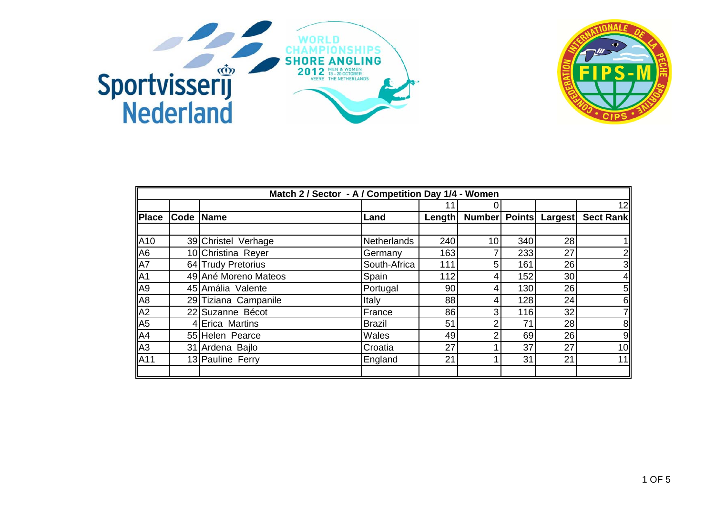



|                                       | Match 2 / Sector - A / Competition Day 1/4 - Women |                      |              |        |                 |               |                |                 |  |
|---------------------------------------|----------------------------------------------------|----------------------|--------------|--------|-----------------|---------------|----------------|-----------------|--|
|                                       |                                                    |                      |              |        | 0               |               |                | 12              |  |
| <b>Place</b>                          | Code Name                                          |                      | Land         | Length | <b>Number</b>   | <b>Points</b> | <b>Largest</b> | Sect Rank       |  |
|                                       |                                                    |                      |              |        |                 |               |                |                 |  |
| A10                                   |                                                    | 39 Christel Verhage  | Netherlands  | 240    | 10 <sub>1</sub> | 340           | 28             |                 |  |
| A <sub>6</sub>                        |                                                    | 10 Christina Reyer   | Germany      | 163    |                 | 233           | 27             | $2\vert$        |  |
| A7                                    |                                                    | 64 Trudy Pretorius   | South-Africa | 111    | 5 <sup>1</sup>  | 161           | 26             | $\overline{3}$  |  |
| A1                                    |                                                    | 49 Ané Moreno Mateos | Spain        | 112    | 4               | 152           | 30             | 4 <sub>l</sub>  |  |
|                                       |                                                    | 45 Amália Valente    | Portugal     | 90     | 4               | 130           | 26             | $5\vert$        |  |
| $\frac{A9}{A8}$                       |                                                    | 29 Tiziana Campanile | Italy        | 88     | 4               | 128           | 24             | 6 <sup>1</sup>  |  |
| A <sub>2</sub>                        |                                                    | 22 Suzanne Bécot     | France       | 86     | 3 <sub>l</sub>  | 116           | 32             | 71              |  |
| A <sub>5</sub>                        |                                                    | 4 Erica Martins      | Brazil       | 51     | $\overline{2}$  | 71            | 28             | 8 <sub>l</sub>  |  |
| $\frac{\overline{A4}}{\overline{A3}}$ |                                                    | 55 Helen Pearce      | Wales        | 49     | 2               | 69            | 26             | 9               |  |
|                                       |                                                    | 31 Ardena Bajlo      | Croatia      | 27     |                 | 37            | 27             | 10 <sub>l</sub> |  |
| A11                                   |                                                    | 13 Pauline Ferry     | England      | 21     |                 | 31            | 21             | 11              |  |
|                                       |                                                    |                      |              |        |                 |               |                |                 |  |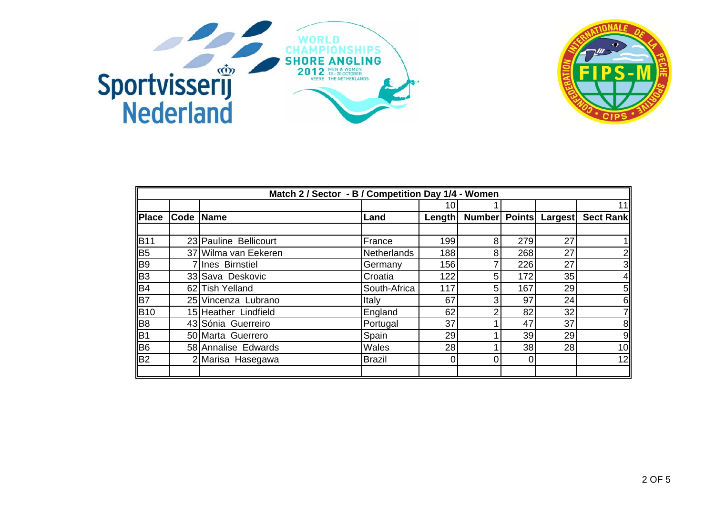



|                | Match 2 / Sector - B / Competition Day 1/4 - Women |                       |               |                |               |     |    |                   |  |
|----------------|----------------------------------------------------|-----------------------|---------------|----------------|---------------|-----|----|-------------------|--|
|                |                                                    |                       |               | 10             |               |     |    | 11                |  |
| <b>Place</b>   | Code Name                                          |                       | Land          | <b>Length</b>  | Number Points |     |    | Largest Sect Rank |  |
|                |                                                    |                       |               |                |               |     |    |                   |  |
| <b>B</b> 11    |                                                    | 23 Pauline Bellicourt | France        | 199            | 8             | 279 | 27 |                   |  |
| B <sub>5</sub> |                                                    | 37 Wilma van Eekeren  | Netherlands   | 188            | 8             | 268 | 27 | 2 <sub>l</sub>    |  |
| B <sub>9</sub> |                                                    | 7 Ines Birnstiel      | Germany       | 156            |               | 226 | 27 | $\overline{3}$    |  |
| B <sub>3</sub> |                                                    | 33 Sava Deskovic      | Croatia       | 122            | 5             | 172 | 35 | $\overline{4}$    |  |
| B4             |                                                    | 62 Tish Yelland       | South-Africa  | 117            | 5             | 167 | 29 | 5 <sub>l</sub>    |  |
| B7             |                                                    | 25 Vincenza Lubrano   | Italy         | 67             | 3             | 97  | 24 | 6 <sup>1</sup>    |  |
| <b>B</b> 10    |                                                    | 15 Heather Lindfield  | England       | 62             | າ             | 82  | 32 | 7                 |  |
| B <sub>8</sub> |                                                    | 43 Sónia Guerreiro    | Portugal      | 37             |               | 47  | 37 | 8 <sup>1</sup>    |  |
|                |                                                    | 50 Marta Guerrero     | Spain         | 29             |               | 39  | 29 | 9                 |  |
| $rac{B1}{B6}$  |                                                    | 58 Annalise Edwards   | Wales         | 28             |               | 38  | 28 | 10                |  |
| B <sub>2</sub> |                                                    | 2 Marisa Hasegawa     | <b>Brazil</b> | $\overline{0}$ |               | 0   |    | 12                |  |
|                |                                                    |                       |               |                |               |     |    |                   |  |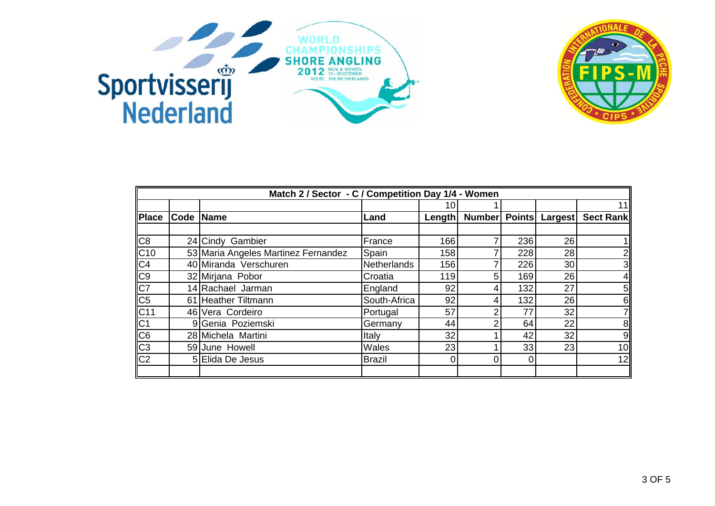



|                                   | Match 2 / Sector - C / Competition Day 1/4 - Women |                                     |               |        |                |     |    |                   |  |
|-----------------------------------|----------------------------------------------------|-------------------------------------|---------------|--------|----------------|-----|----|-------------------|--|
|                                   |                                                    |                                     |               | 10     |                |     |    | 11                |  |
| Place                             | Code Name                                          |                                     | Land          | Length | Number Points  |     |    | Largest Sect Rank |  |
|                                   |                                                    |                                     |               |        |                |     |    |                   |  |
| C8                                |                                                    | 24 Cindy Gambier                    | France        | 166    | 7              | 236 | 26 |                   |  |
|                                   |                                                    | 53 Maria Angeles Martinez Fernandez | Spain         | 158    |                | 228 | 28 | $2\vert$          |  |
| C10<br>C4<br>C9<br>C7<br>C5<br>C5 |                                                    | 40 Miranda Verschuren               | Netherlands   | 156    |                | 226 | 30 | 3                 |  |
|                                   |                                                    | 32 Mirjana Pobor                    | Croatia       | 119    | 5              | 169 | 26 | 4 <sub>l</sub>    |  |
|                                   |                                                    | 14 Rachael Jarman                   | England       | 92     | 4              | 132 | 27 | 5 <sub>l</sub>    |  |
|                                   |                                                    | 61 Heather Tiltmann                 | South-Africa  | 92     | 4              | 132 | 26 | 6 <sup>1</sup>    |  |
|                                   |                                                    | 46 Vera Cordeiro                    | Portugal      | 57     | 2              | 77  | 32 | 71                |  |
|                                   |                                                    | 9 Genia Poziemski                   | Germany       | 44     | 2              | 64  | 22 | 8 <sub>l</sub>    |  |
|                                   |                                                    | 28 Michela Martini                  | Italy         | 32     |                | 42  | 32 | 9                 |  |
|                                   |                                                    | 59 June Howell                      | Wales         | 23     |                | 33  | 23 | 10 <sub>l</sub>   |  |
| C11<br>C1<br>C6<br>C3<br>C2       |                                                    | 5 Elida De Jesus                    | <b>Brazil</b> | 0      | $\overline{0}$ | 0   |    | 12                |  |
|                                   |                                                    |                                     |               |        |                |     |    |                   |  |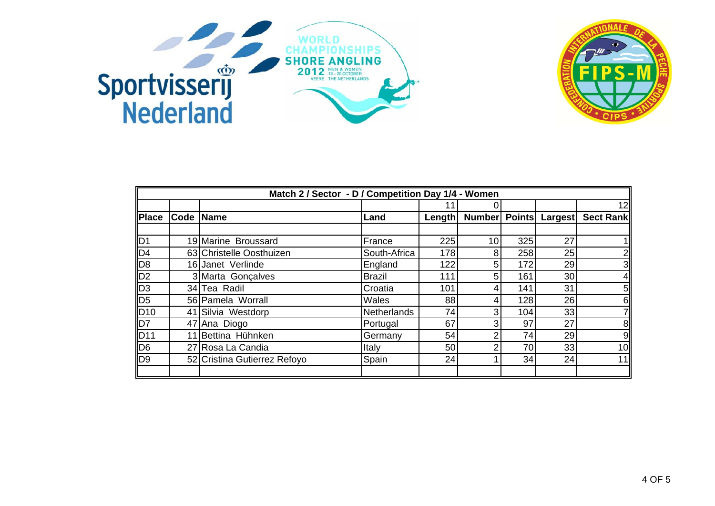



|                 | Match 2 / Sector - D / Competition Day 1/4 - Women |                              |               |        |               |               |                |                  |  |
|-----------------|----------------------------------------------------|------------------------------|---------------|--------|---------------|---------------|----------------|------------------|--|
|                 |                                                    |                              |               |        |               |               |                | 12               |  |
| <b>Place</b>    | Code Name                                          |                              | Land          | Length | <b>Number</b> | <b>Points</b> | <b>Largest</b> | <b>Sect Rank</b> |  |
|                 |                                                    |                              |               |        |               |               |                |                  |  |
| D <sub>1</sub>  |                                                    | 19 Marine Broussard          | France        | 225    | 10            | 325           | 27             |                  |  |
| $\overline{D4}$ |                                                    | 63 Christelle Oosthuizen     | South-Africa  | 178    | 8             | 258           | 25             | $2 \mid$         |  |
| D <sub>8</sub>  |                                                    | 16 Janet Verlinde            | England       | 122    | 5             | 172           | 29             | 3 <sup>1</sup>   |  |
| $\overline{D2}$ |                                                    | 3 Marta Gonçalves            | <b>Brazil</b> | 111    | 5             | 161           | 30             | $\overline{4}$   |  |
| $\overline{D3}$ |                                                    | 34 Tea Radil                 | Croatia       | 101    | 4             | 141           | 31             | 5 <sub>l</sub>   |  |
| D <sub>5</sub>  |                                                    | 56 Pamela Worrall            | Wales         | 88     | 4             | 128           | 26             | 6                |  |
| D <sub>10</sub> |                                                    | 41 Silvia Westdorp           | Netherlands   | 74     | 3             | 104           | 33             | 71               |  |
| D7              |                                                    | 47 Ana Diogo                 | Portugal      | 67     | 3             | 97            | 27             | 8 <sup>1</sup>   |  |
| <b>D11</b>      | 11                                                 | Bettina Hühnken              | Germany       | 54     | 2             | 74            | 29             | 9                |  |
| D <sub>6</sub>  |                                                    | 27 Rosa La Candia            | <b>Italy</b>  | 50     | 2             | 70            | 33             | 10               |  |
| D <sub>9</sub>  |                                                    | 52 Cristina Gutierrez Refoyo | Spain         | 24     |               | 34            | 24             | 11               |  |
|                 |                                                    |                              |               |        |               |               |                |                  |  |